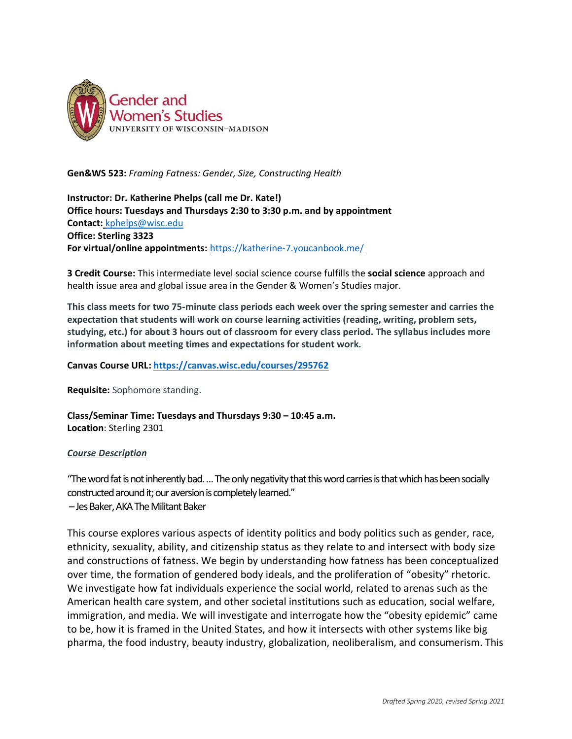

**Gen&WS 523:** *Framing Fatness: Gender, Size, Constructing Health*

**Instructor: Dr. Katherine Phelps (call me Dr. Kate!) Office hours: Tuesdays and Thursdays 2:30 to 3:30 p.m. and by appointment Contact:** [kphelps@wisc.edu](mailto:kphelps@wisc.edu) **Office: Sterling 3323 For virtual/online appointments:** <https://katherine-7.youcanbook.me/>

**3 Credit Course:** This intermediate level social science course fulfills the **social science** approach and health issue area and global issue area in the Gender & Women's Studies major.

**This class meets for two 75-minute class periods each week over the spring semester and carries the expectation that students will work on course learning activities (reading, writing, problem sets, studying, etc.) for about 3 hours out of classroom for every class period. The syllabus includes more information about meeting times and expectations for student work.**

**Canvas Course URL[: https://canvas.wisc.edu/courses/295762](https://canvas.wisc.edu/courses/295762)**

**Requisite:** Sophomore standing.

**Class/Seminar Time: Tuesdays and Thursdays 9:30 – 10:45 a.m. Location**: Sterling 2301

## *Course Description*

"The word fat is not inherently bad. … The only negativity that this word carries is that which has been socially constructed around it; our aversion is completely learned."

–Jes Baker, AKA The Militant Baker

This course explores various aspects of identity politics and body politics such as gender, race, ethnicity, sexuality, ability, and citizenship status as they relate to and intersect with body size and constructions of fatness. We begin by understanding how fatness has been conceptualized over time, the formation of gendered body ideals, and the proliferation of "obesity" rhetoric. We investigate how fat individuals experience the social world, related to arenas such as the American health care system, and other societal institutions such as education, social welfare, immigration, and media. We will investigate and interrogate how the "obesity epidemic" came to be, how it is framed in the United States, and how it intersects with other systems like big pharma, the food industry, beauty industry, globalization, neoliberalism, and consumerism. This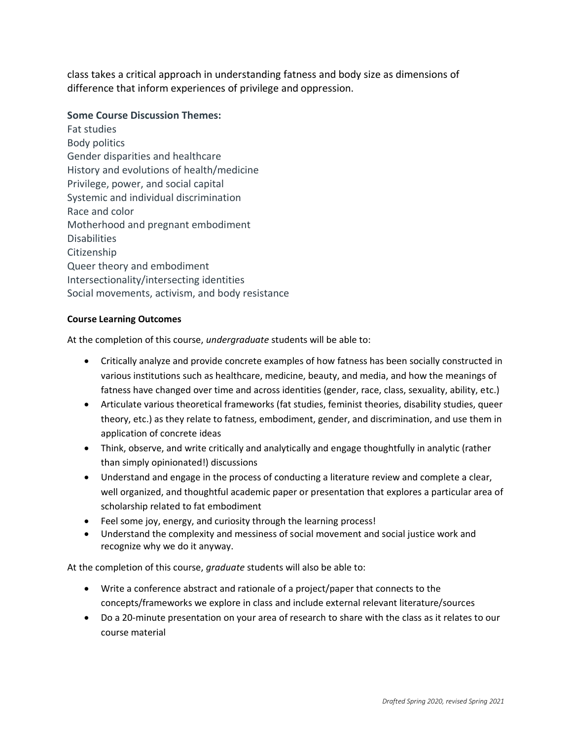class takes a critical approach in understanding fatness and body size as dimensions of difference that inform experiences of privilege and oppression.

# **Some Course Discussion Themes:**

Fat studies Body politics Gender disparities and healthcare History and evolutions of health/medicine Privilege, power, and social capital Systemic and individual discrimination Race and color Motherhood and pregnant embodiment **Disabilities** Citizenship Queer theory and embodiment Intersectionality/intersecting identities Social movements, activism, and body resistance

## **Course Learning Outcomes**

At the completion of this course, *undergraduate* students will be able to:

- Critically analyze and provide concrete examples of how fatness has been socially constructed in various institutions such as healthcare, medicine, beauty, and media, and how the meanings of fatness have changed over time and across identities (gender, race, class, sexuality, ability, etc.)
- Articulate various theoretical frameworks (fat studies, feminist theories, disability studies, queer theory, etc.) as they relate to fatness, embodiment, gender, and discrimination, and use them in application of concrete ideas
- Think, observe, and write critically and analytically and engage thoughtfully in analytic (rather than simply opinionated!) discussions
- Understand and engage in the process of conducting a literature review and complete a clear, well organized, and thoughtful academic paper or presentation that explores a particular area of scholarship related to fat embodiment
- Feel some joy, energy, and curiosity through the learning process!
- Understand the complexity and messiness of social movement and social justice work and recognize why we do it anyway.

At the completion of this course, *graduate* students will also be able to:

- Write a conference abstract and rationale of a project/paper that connects to the concepts/frameworks we explore in class and include external relevant literature/sources
- Do a 20-minute presentation on your area of research to share with the class as it relates to our course material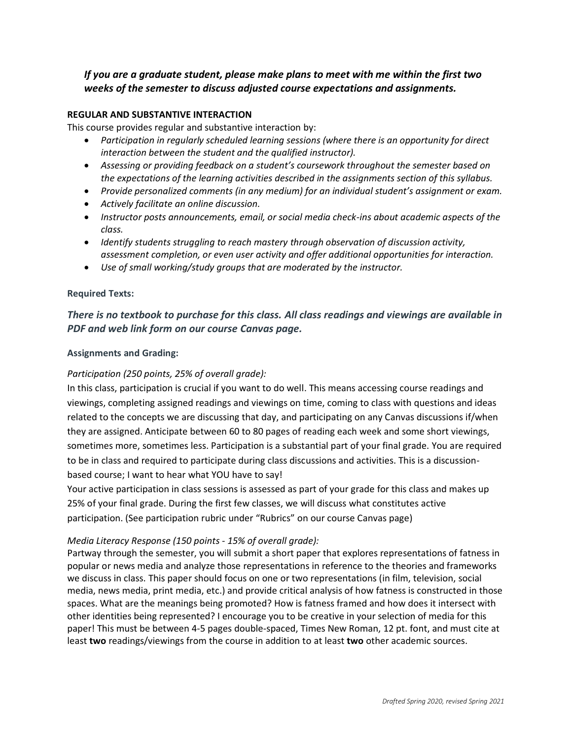# *If you are a graduate student, please make plans to meet with me within the first two weeks of the semester to discuss adjusted course expectations and assignments.*

## **REGULAR AND SUBSTANTIVE INTERACTION**

This course provides regular and substantive interaction by:

- *Participation in regularly scheduled learning sessions (where there is an opportunity for direct interaction between the student and the qualified instructor).*
- *Assessing or providing feedback on a student's coursework throughout the semester based on the expectations of the learning activities described in the assignments section of this syllabus.*
- *Provide personalized comments (in any medium) for an individual student's assignment or exam.*
- *Actively facilitate an online discussion.*
- *Instructor posts announcements, email, or social media check-ins about academic aspects of the class.*
- *Identify students struggling to reach mastery through observation of discussion activity, assessment completion, or even user activity and offer additional opportunities for interaction.*
- *Use of small working/study groups that are moderated by the instructor.*

#### **Required Texts:**

# *There is no textbook to purchase for this class. All class readings and viewings are available in PDF and web link form on our course Canvas page.*

#### **Assignments and Grading:**

## *Participation (250 points, 25% of overall grade):*

In this class, participation is crucial if you want to do well. This means accessing course readings and viewings, completing assigned readings and viewings on time, coming to class with questions and ideas related to the concepts we are discussing that day, and participating on any Canvas discussions if/when they are assigned. Anticipate between 60 to 80 pages of reading each week and some short viewings, sometimes more, sometimes less. Participation is a substantial part of your final grade. You are required to be in class and required to participate during class discussions and activities. This is a discussionbased course; I want to hear what YOU have to say!

Your active participation in class sessions is assessed as part of your grade for this class and makes up 25% of your final grade. During the first few classes, we will discuss what constitutes active participation. (See participation rubric under "Rubrics" on our course Canvas page)

## *Media Literacy Response (150 points - 15% of overall grade):*

Partway through the semester, you will submit a short paper that explores representations of fatness in popular or news media and analyze those representations in reference to the theories and frameworks we discuss in class. This paper should focus on one or two representations (in film, television, social media, news media, print media, etc.) and provide critical analysis of how fatness is constructed in those spaces. What are the meanings being promoted? How is fatness framed and how does it intersect with other identities being represented? I encourage you to be creative in your selection of media for this paper! This must be between 4-5 pages double-spaced, Times New Roman, 12 pt. font, and must cite at least **two** readings/viewings from the course in addition to at least **two** other academic sources.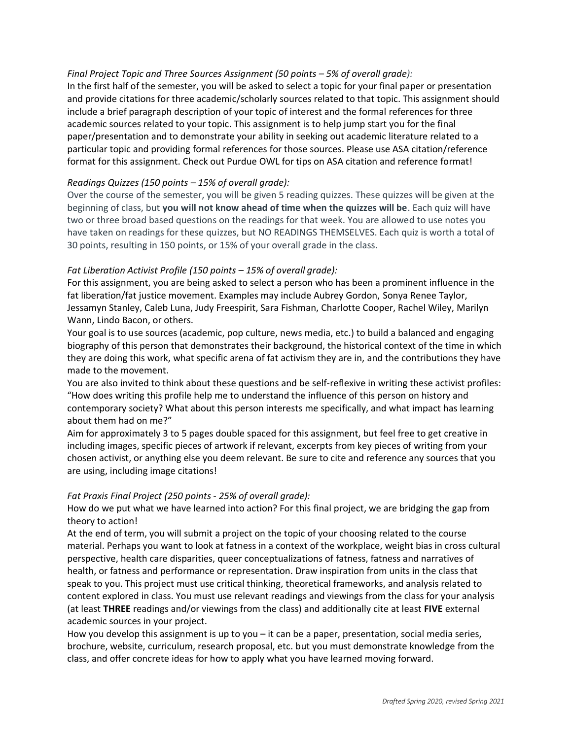# *Final Project Topic and Three Sources Assignment (50 points – 5% of overall grade):*

In the first half of the semester, you will be asked to select a topic for your final paper or presentation and provide citations for three academic/scholarly sources related to that topic. This assignment should include a brief paragraph description of your topic of interest and the formal references for three academic sources related to your topic. This assignment is to help jump start you for the final paper/presentation and to demonstrate your ability in seeking out academic literature related to a particular topic and providing formal references for those sources. Please use ASA citation/reference format for this assignment. Check out Purdue OWL for tips on ASA citation and reference format!

## *Readings Quizzes (150 points – 15% of overall grade):*

Over the course of the semester, you will be given 5 reading quizzes. These quizzes will be given at the beginning of class, but **you will not know ahead of time when the quizzes will be**. Each quiz will have two or three broad based questions on the readings for that week. You are allowed to use notes you have taken on readings for these quizzes, but NO READINGS THEMSELVES. Each quiz is worth a total of 30 points, resulting in 150 points, or 15% of your overall grade in the class.

## *Fat Liberation Activist Profile (150 points – 15% of overall grade):*

For this assignment, you are being asked to select a person who has been a prominent influence in the fat liberation/fat justice movement. Examples may include Aubrey Gordon, Sonya Renee Taylor, Jessamyn Stanley, Caleb Luna, Judy Freespirit, Sara Fishman, Charlotte Cooper, Rachel Wiley, Marilyn Wann, Lindo Bacon, or others.

Your goal is to use sources (academic, pop culture, news media, etc.) to build a balanced and engaging biography of this person that demonstrates their background, the historical context of the time in which they are doing this work, what specific arena of fat activism they are in, and the contributions they have made to the movement.

You are also invited to think about these questions and be self-reflexive in writing these activist profiles: "How does writing this profile help me to understand the influence of this person on history and contemporary society? What about this person interests me specifically, and what impact has learning about them had on me?"

Aim for approximately 3 to 5 pages double spaced for this assignment, but feel free to get creative in including images, specific pieces of artwork if relevant, excerpts from key pieces of writing from your chosen activist, or anything else you deem relevant. Be sure to cite and reference any sources that you are using, including image citations!

## *Fat Praxis Final Project (250 points - 25% of overall grade):*

How do we put what we have learned into action? For this final project, we are bridging the gap from theory to action!

At the end of term, you will submit a project on the topic of your choosing related to the course material. Perhaps you want to look at fatness in a context of the workplace, weight bias in cross cultural perspective, health care disparities, queer conceptualizations of fatness, fatness and narratives of health, or fatness and performance or representation. Draw inspiration from units in the class that speak to you. This project must use critical thinking, theoretical frameworks, and analysis related to content explored in class. You must use relevant readings and viewings from the class for your analysis (at least **THREE** readings and/or viewings from the class) and additionally cite at least **FIVE** external academic sources in your project.

How you develop this assignment is up to you – it can be a paper, presentation, social media series, brochure, website, curriculum, research proposal, etc. but you must demonstrate knowledge from the class, and offer concrete ideas for how to apply what you have learned moving forward.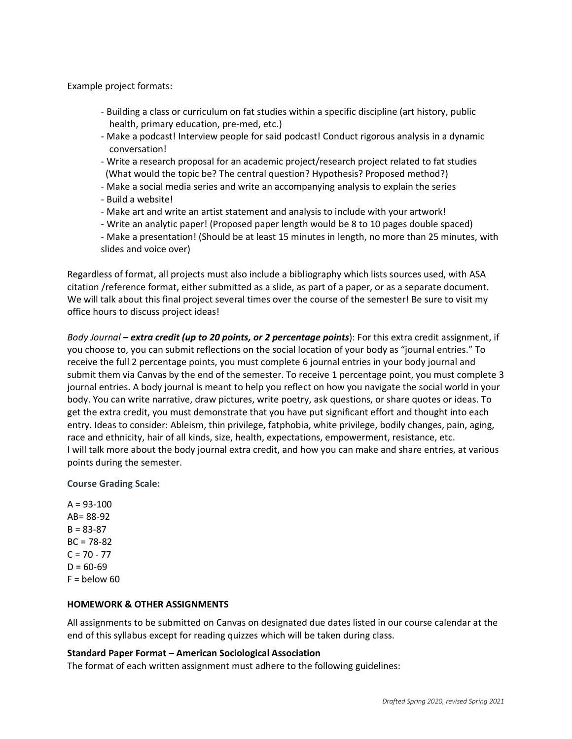Example project formats:

- Building a class or curriculum on fat studies within a specific discipline (art history, public health, primary education, pre-med, etc.)
- Make a podcast! Interview people for said podcast! Conduct rigorous analysis in a dynamic conversation!
- Write a research proposal for an academic project/research project related to fat studies (What would the topic be? The central question? Hypothesis? Proposed method?)
- Make a social media series and write an accompanying analysis to explain the series
- Build a website!
- Make art and write an artist statement and analysis to include with your artwork!
- Write an analytic paper! (Proposed paper length would be 8 to 10 pages double spaced)
- Make a presentation! (Should be at least 15 minutes in length, no more than 25 minutes, with slides and voice over)

Regardless of format, all projects must also include a bibliography which lists sources used, with ASA citation /reference format, either submitted as a slide, as part of a paper, or as a separate document. We will talk about this final project several times over the course of the semester! Be sure to visit my office hours to discuss project ideas!

*Body Journal – extra credit (up to 20 points, or 2 percentage points*): For this extra credit assignment, if you choose to, you can submit reflections on the social location of your body as "journal entries." To receive the full 2 percentage points, you must complete 6 journal entries in your body journal and submit them via Canvas by the end of the semester. To receive 1 percentage point, you must complete 3 journal entries. A body journal is meant to help you reflect on how you navigate the social world in your body. You can write narrative, draw pictures, write poetry, ask questions, or share quotes or ideas. To get the extra credit, you must demonstrate that you have put significant effort and thought into each entry. Ideas to consider: Ableism, thin privilege, fatphobia, white privilege, bodily changes, pain, aging, race and ethnicity, hair of all kinds, size, health, expectations, empowerment, resistance, etc. I will talk more about the body journal extra credit, and how you can make and share entries, at various points during the semester.

**Course Grading Scale:**

 $A = 93 - 100$ AB= 88-92  $B = 83 - 87$  $BC = 78-82$  $C = 70 - 77$  $D = 60-69$  $F =$  below 60

## **HOMEWORK & OTHER ASSIGNMENTS**

All assignments to be submitted on Canvas on designated due dates listed in our course calendar at the end of this syllabus except for reading quizzes which will be taken during class.

## **Standard Paper Format – American Sociological Association**

The format of each written assignment must adhere to the following guidelines: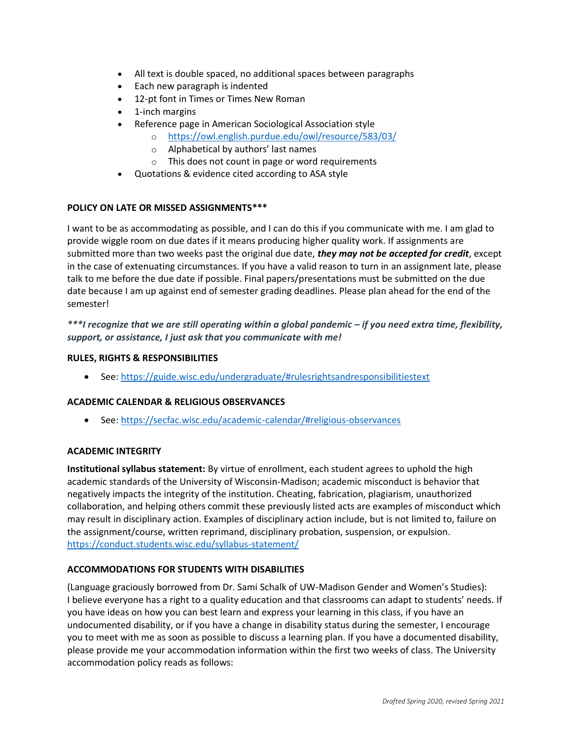- All text is double spaced, no additional spaces between paragraphs
- Each new paragraph is indented
- 12-pt font in Times or Times New Roman
- 1-inch margins
- Reference page in American Sociological Association style
	- o <https://owl.english.purdue.edu/owl/resource/583/03/>
	- o Alphabetical by authors' last names
	- o This does not count in page or word requirements
- Quotations & evidence cited according to ASA style

# **POLICY ON LATE OR MISSED ASSIGNMENTS\*\*\***

I want to be as accommodating as possible, and I can do this if you communicate with me. I am glad to provide wiggle room on due dates if it means producing higher quality work. If assignments are submitted more than two weeks past the original due date, *they may not be accepted for credit*, except in the case of extenuating circumstances. If you have a valid reason to turn in an assignment late, please talk to me before the due date if possible. Final papers/presentations must be submitted on the due date because I am up against end of semester grading deadlines. Please plan ahead for the end of the semester!

# *\*\*\*I recognize that we are still operating within a global pandemic – if you need extra time, flexibility, support, or assistance, I just ask that you communicate with me!*

## **RULES, RIGHTS & RESPONSIBILITIES**

• See:<https://guide.wisc.edu/undergraduate/#rulesrightsandresponsibilitiestext>

## **ACADEMIC CALENDAR & RELIGIOUS OBSERVANCES**

• See:<https://secfac.wisc.edu/academic-calendar/#religious-observances>

## **ACADEMIC INTEGRITY**

**Institutional syllabus statement:** By virtue of enrollment, each student agrees to uphold the high academic standards of the University of Wisconsin-Madison; academic misconduct is behavior that negatively impacts the integrity of the institution. Cheating, fabrication, plagiarism, unauthorized collaboration, and helping others commit these previously listed acts are examples of misconduct which may result in disciplinary action. Examples of disciplinary action include, but is not limited to, failure on the assignment/course, written reprimand, disciplinary probation, suspension, or expulsion. <https://conduct.students.wisc.edu/syllabus-statement/>

## **ACCOMMODATIONS FOR STUDENTS WITH DISABILITIES**

(Language graciously borrowed from Dr. Sami Schalk of UW-Madison Gender and Women's Studies): I believe everyone has a right to a quality education and that classrooms can adapt to students' needs. If you have ideas on how you can best learn and express your learning in this class, if you have an undocumented disability, or if you have a change in disability status during the semester, I encourage you to meet with me as soon as possible to discuss a learning plan. If you have a documented disability, please provide me your accommodation information within the first two weeks of class. The University accommodation policy reads as follows: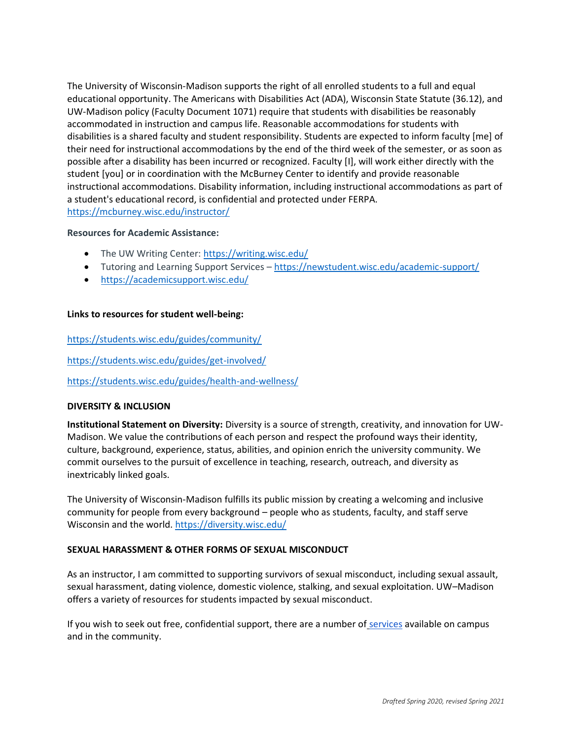The University of Wisconsin-Madison supports the right of all enrolled students to a full and equal educational opportunity. The Americans with Disabilities Act (ADA), Wisconsin State Statute (36.12), and UW-Madison policy (Faculty Document 1071) require that students with disabilities be reasonably accommodated in instruction and campus life. Reasonable accommodations for students with disabilities is a shared faculty and student responsibility. Students are expected to inform faculty [me] of their need for instructional accommodations by the end of the third week of the semester, or as soon as possible after a disability has been incurred or recognized. Faculty [I], will work either directly with the student [you] or in coordination with the McBurney Center to identify and provide reasonable instructional accommodations. Disability information, including instructional accommodations as part of a student's educational record, is confidential and protected under FERPA. <https://mcburney.wisc.edu/instructor/>

#### **Resources for Academic Assistance:**

- The UW Writing Center: <https://writing.wisc.edu/>
- Tutoring and Learning Support Services <https://newstudent.wisc.edu/academic-support/>
- <https://academicsupport.wisc.edu/>

#### **Links to resources for student well-being:**

<https://students.wisc.edu/guides/community/> <https://students.wisc.edu/guides/get-involved/>

<https://students.wisc.edu/guides/health-and-wellness/>

## **DIVERSITY & INCLUSION**

**Institutional Statement on Diversity:** Diversity is a source of strength, creativity, and innovation for UW-Madison. We value the contributions of each person and respect the profound ways their identity, culture, background, experience, status, abilities, and opinion enrich the university community. We commit ourselves to the pursuit of excellence in teaching, research, outreach, and diversity as inextricably linked goals.

The University of Wisconsin-Madison fulfills its public mission by creating a welcoming and inclusive community for people from every background – people who as students, faculty, and staff serve Wisconsin and the world. <https://diversity.wisc.edu/>

## **SEXUAL HARASSMENT & OTHER FORMS OF SEXUAL MISCONDUCT**

As an instructor, I am committed to supporting survivors of sexual misconduct, including sexual assault, sexual harassment, dating violence, domestic violence, stalking, and sexual exploitation. UW–Madison offers a variety of resources for students impacted by sexual misconduct.

If you wish to seek out free, confidential support, there are a number of [services](https://www.uhs.wisc.edu/survivor-services/campus-community-resources-for-victims/) available on campus and in the community.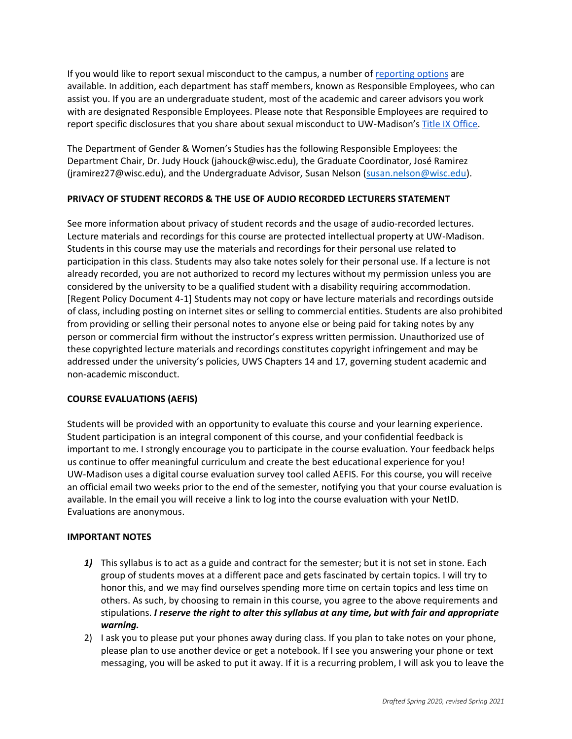If you would like to report sexual misconduct to the campus, a number of [reporting options](https://compliance.wisc.edu/titleix/student-information/) are available. In addition, each department has staff members, known as Responsible Employees, who can assist you. If you are an undergraduate student, most of the academic and career advisors you work with are designated Responsible Employees. Please note that Responsible Employees are required to report specific disclosures that you share about sexual misconduct to UW-Madison's [Title IX Office.](https://compliance.wisc.edu/titleix/)

The Department of Gender & Women's Studies has the following Responsible Employees: the Department Chair, Dr. Judy Houck (jahouck@wisc.edu), the Graduate Coordinator, José Ramirez (jramirez27@wisc.edu), and the Undergraduate Advisor, Susan Nelson [\(susan.nelson@wisc.edu\)](mailto:susan.nelson@wisc.edu).

## **PRIVACY OF STUDENT RECORDS & THE USE OF AUDIO RECORDED LECTURERS STATEMENT**

See more information about [privacy of student records and the usage of audio-recorded lectures.](https://instructionalcontinuity.wisc.edu/2020/04/03/privacy-of-student-records-and-the-usage-of-audio-recorded-lectures/) Lecture materials and recordings for this course are protected intellectual property at UW-Madison. Students in this course may use the materials and recordings for their personal use related to participation in this class. Students may also take notes solely for their personal use. If a lecture is not already recorded, you are not authorized to record my lectures without my permission unless you are considered by the university to be a qualified student with a disability requiring accommodation. [Regent Policy Document 4-1] Students may not copy or have lecture materials and recordings outside of class, including posting on internet sites or selling to commercial entities. Students are also prohibited from providing or selling their personal notes to anyone else or being paid for taking notes by any person or commercial firm without the instructor's express written permission. Unauthorized use of these copyrighted lecture materials and recordings constitutes copyright infringement and may be addressed under the university's policies, UWS Chapters 14 and 17, governing student academic and non-academic misconduct.

## **COURSE EVALUATIONS (AEFIS)**

Students will be provided with an opportunity to evaluate this course and your learning experience. Student participation is an integral component of this course, and your confidential feedback is important to me. I strongly encourage you to participate in the course evaluation. Your feedback helps us continue to offer meaningful curriculum and create the best educational experience for you! UW-Madison uses a digital course evaluation survey tool called [AEFIS.](https://kb.wisc.edu/luwmad/page.php?id=81069) For this course, you will receive an official email two weeks prior to the end of the semester, notifying you that your course evaluation is available. In the email you will receive a link to log into the course evaluation with your NetID. Evaluations are anonymous.

## **IMPORTANT NOTES**

- *1)* This syllabus is to act as a guide and contract for the semester; but it is not set in stone. Each group of students moves at a different pace and gets fascinated by certain topics. I will try to honor this, and we may find ourselves spending more time on certain topics and less time on others. As such, by choosing to remain in this course, you agree to the above requirements and stipulations. *I reserve the right to alter this syllabus at any time, but with fair and appropriate warning.*
- 2) I ask you to please put your phones away during class. If you plan to take notes on your phone, please plan to use another device or get a notebook. If I see you answering your phone or text messaging, you will be asked to put it away. If it is a recurring problem, I will ask you to leave the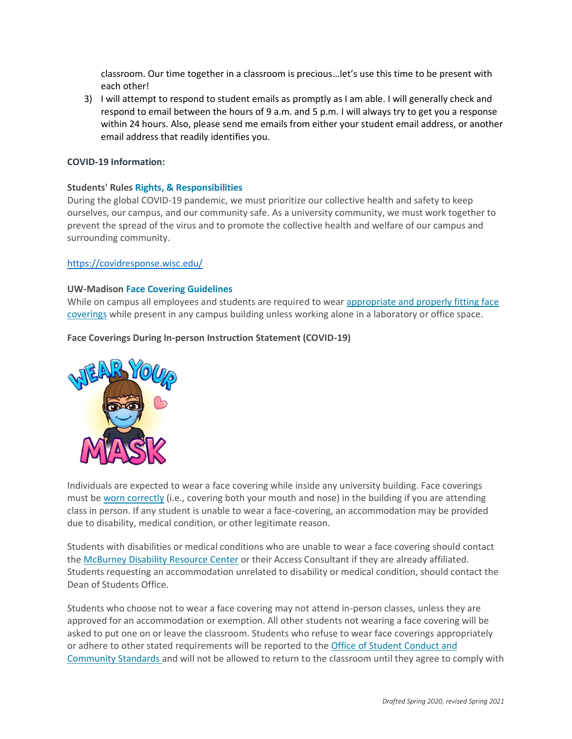classroom. Our time together in a classroom is precious…let's use this time to be present with each other!

3) I will attempt to respond to student emails as promptly as I am able. I will generally check and respond to email between the hours of 9 a.m. and 5 p.m. I will always try to get you a response within 24 hours. Also, please send me emails from either your student email address, or another email address that readily identifies you.

#### **COVID-19 Information:**

#### **Students' Rules [Rights, & Responsibilities](https://guide.wisc.edu/undergraduate/#rulesrightsandresponsibilitiestext)**

During the global COVID-19 pandemic, we must prioritize our collective health and safety to keep ourselves, our campus, and our community safe. As a university community, we must work together to prevent the spread of the virus and to promote the collective health and welfare of our campus and surrounding community.

#### <https://covidresponse.wisc.edu/>

#### **UW-Madison [Face Covering Guidelines](https://d1cjb8q1w2lzm7.cloudfront.net/wp-content/uploads/sites/22/2020/06/Cloth-face-cover-guidance-06-22-20-final.pdf)**

While on campus all employees and students are required to wear appropriate and properly fitting face [coverings](https://www.cdc.gov/coronavirus/2019-ncov/prevent-getting-sick/how-to-wear-cloth-face-coverings.html) while present in any campus building unless working alone in a laboratory or office space.

#### **Face Coverings During In-person Instruction Statement (COVID-19)**



Individuals are expected to wear a face covering while inside any university building. Face coverings must be [worn correctly](https://www.cdc.gov/coronavirus/2019-ncov/prevent-getting-sick/how-to-wear-cloth-face-coverings.html) (i.e., covering both your mouth and nose) in the building if you are attending class in person. If any student is unable to wear a face-covering, an accommodation may be provided due to disability, medical condition, or other legitimate reason.

Students with disabilities or medical conditions who are unable to wear a face covering should contact the [McBurney Disability Resource Center](https://mcburney.wisc.edu/) or their Access Consultant if they are already affiliated. Students requesting an accommodation unrelated to disability or medical condition, should contact the Dean of Students Office.

Students who choose not to wear a face covering may not attend in-person classes, unless they are approved for an accommodation or exemption. All other students not wearing a face covering will be asked to put one on or leave the classroom. Students who refuse to wear face coverings appropriately or adhere to other stated requirements will be reported to the [Office of Student Conduct and](https://conduct.students.wisc.edu/)  [Community Standards](https://conduct.students.wisc.edu/) and will not be allowed to return to the classroom until they agree to comply with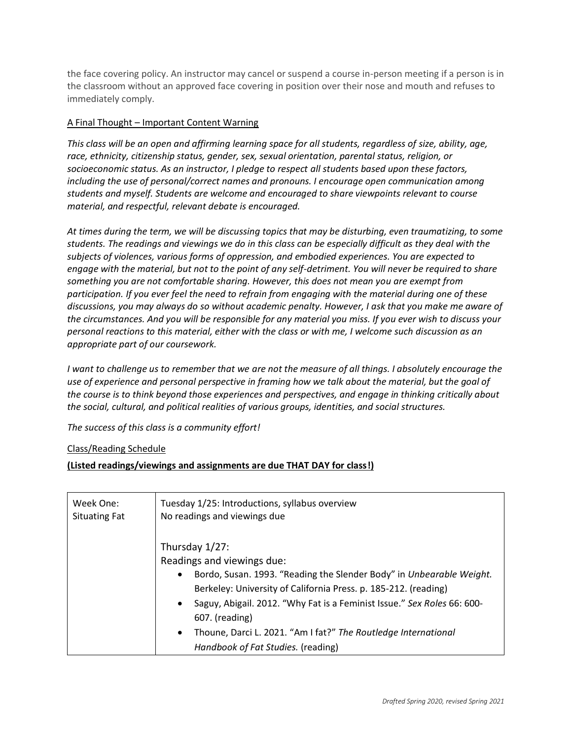the face covering policy. An instructor may cancel or suspend a course in-person meeting if a person is in the classroom without an approved face covering in position over their nose and mouth and refuses to immediately comply.

# A Final Thought – Important Content Warning

*This class will be an open and affirming learning space for all students, regardless of size, ability, age, race, ethnicity, citizenship status, gender, sex, sexual orientation, parental status, religion, or socioeconomic status. As an instructor, I pledge to respect all students based upon these factors, including the use of personal/correct names and pronouns. I encourage open communication among students and myself. Students are welcome and encouraged to share viewpoints relevant to course material, and respectful, relevant debate is encouraged.*

*At times during the term, we will be discussing topics that may be disturbing, even traumatizing, to some students. The readings and viewings we do in this class can be especially difficult as they deal with the subjects of violences, various forms of oppression, and embodied experiences. You are expected to engage with the material, but not to the point of any self-detriment. You will never be required to share something you are not comfortable sharing. However, this does not mean you are exempt from participation. If you ever feel the need to refrain from engaging with the material during one of these discussions, you may always do so without academic penalty. However, I ask that you make me aware of the circumstances. And you will be responsible for any material you miss. If you ever wish to discuss your personal reactions to this material, either with the class or with me, I welcome such discussion as an appropriate part of our coursework.*

*I want to challenge us to remember that we are not the measure of all things. I absolutely encourage the use of experience and personal perspective in framing how we talk about the material, but the goal of the course is to think beyond those experiences and perspectives, and engage in thinking critically about the social, cultural, and political realities of various groups, identities, and social structures.*

*The success of this class is a community effort!*

## Class/Reading Schedule

## **(Listed readings/viewings and assignments are due THAT DAY for class!)**

| Week One:            | Tuesday 1/25: Introductions, syllabus overview                                                                                                                                                                                                                                                                                                                                                                              |
|----------------------|-----------------------------------------------------------------------------------------------------------------------------------------------------------------------------------------------------------------------------------------------------------------------------------------------------------------------------------------------------------------------------------------------------------------------------|
| <b>Situating Fat</b> | No readings and viewings due                                                                                                                                                                                                                                                                                                                                                                                                |
|                      | Thursday $1/27$ :<br>Readings and viewings due:<br>Bordo, Susan. 1993. "Reading the Slender Body" in Unbearable Weight.<br>$\bullet$<br>Berkeley: University of California Press. p. 185-212. (reading)<br>• Saguy, Abigail. 2012. "Why Fat is a Feminist Issue." Sex Roles 66: 600-<br>607. (reading)<br>Thoune, Darci L. 2021. "Am I fat?" The Routledge International<br>$\bullet$<br>Handbook of Fat Studies. (reading) |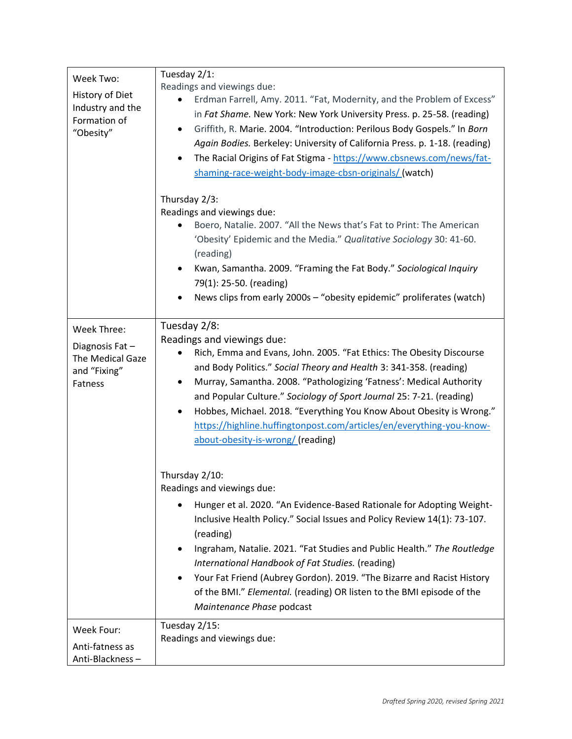| Week Two:<br>History of Diet<br>Industry and the<br>Formation of<br>"Obesity" | Tuesday 2/1:<br>Readings and viewings due:<br>Erdman Farrell, Amy. 2011. "Fat, Modernity, and the Problem of Excess"<br>in Fat Shame. New York: New York University Press. p. 25-58. (reading)<br>Griffith, R. Marie. 2004. "Introduction: Perilous Body Gospels." In Born<br>Again Bodies. Berkeley: University of California Press. p. 1-18. (reading)<br>The Racial Origins of Fat Stigma - https://www.cbsnews.com/news/fat-<br>shaming-race-weight-body-image-cbsn-originals/ (watch)<br>Thursday 2/3:                       |
|-------------------------------------------------------------------------------|-----------------------------------------------------------------------------------------------------------------------------------------------------------------------------------------------------------------------------------------------------------------------------------------------------------------------------------------------------------------------------------------------------------------------------------------------------------------------------------------------------------------------------------|
|                                                                               | Readings and viewings due:<br>Boero, Natalie. 2007. "All the News that's Fat to Print: The American                                                                                                                                                                                                                                                                                                                                                                                                                               |
|                                                                               | 'Obesity' Epidemic and the Media." Qualitative Sociology 30: 41-60.                                                                                                                                                                                                                                                                                                                                                                                                                                                               |
|                                                                               | (reading)<br>Kwan, Samantha. 2009. "Framing the Fat Body." Sociological Inquiry<br>79(1): 25-50. (reading)                                                                                                                                                                                                                                                                                                                                                                                                                        |
|                                                                               | News clips from early 2000s - "obesity epidemic" proliferates (watch)                                                                                                                                                                                                                                                                                                                                                                                                                                                             |
| Week Three:<br>Diagnosis Fat-<br>The Medical Gaze<br>and "Fixing"<br>Fatness  | Tuesday 2/8:<br>Readings and viewings due:<br>Rich, Emma and Evans, John. 2005. "Fat Ethics: The Obesity Discourse<br>and Body Politics." Social Theory and Health 3: 341-358. (reading)<br>Murray, Samantha. 2008. "Pathologizing 'Fatness': Medical Authority<br>and Popular Culture." Sociology of Sport Journal 25: 7-21. (reading)<br>Hobbes, Michael. 2018. "Everything You Know About Obesity is Wrong."<br>٠<br>https://highline.huffingtonpost.com/articles/en/everything-you-know-<br>about-obesity-is-wrong/ (reading) |
|                                                                               | Thursday 2/10:<br>Readings and viewings due:                                                                                                                                                                                                                                                                                                                                                                                                                                                                                      |
|                                                                               | Hunger et al. 2020. "An Evidence-Based Rationale for Adopting Weight-<br>Inclusive Health Policy." Social Issues and Policy Review 14(1): 73-107.<br>(reading)<br>Ingraham, Natalie. 2021. "Fat Studies and Public Health." The Routledge<br>International Handbook of Fat Studies. (reading)<br>Your Fat Friend (Aubrey Gordon). 2019. "The Bizarre and Racist History<br>of the BMI." Elemental. (reading) OR listen to the BMI episode of the<br>Maintenance Phase podcast                                                     |
| Week Four:<br>Anti-fatness as<br>Anti-Blackness-                              | Tuesday 2/15:<br>Readings and viewings due:                                                                                                                                                                                                                                                                                                                                                                                                                                                                                       |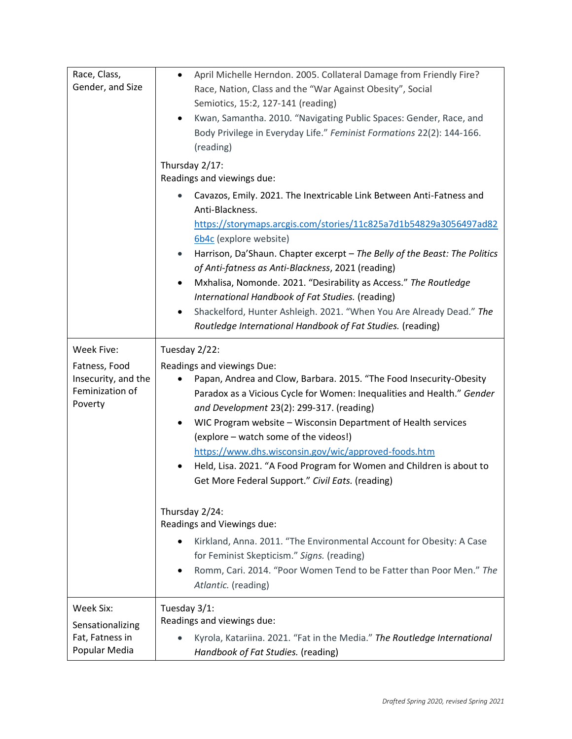| Race, Class,<br>Gender, and Size                                                 | April Michelle Herndon. 2005. Collateral Damage from Friendly Fire?<br>$\bullet$<br>Race, Nation, Class and the "War Against Obesity", Social<br>Semiotics, 15:2, 127-141 (reading)<br>Kwan, Samantha. 2010. "Navigating Public Spaces: Gender, Race, and<br>٠<br>Body Privilege in Everyday Life." Feminist Formations 22(2): 144-166.<br>(reading)<br>Thursday 2/17:<br>Readings and viewings due:                                                                                                                                                                                                                                                                 |
|----------------------------------------------------------------------------------|----------------------------------------------------------------------------------------------------------------------------------------------------------------------------------------------------------------------------------------------------------------------------------------------------------------------------------------------------------------------------------------------------------------------------------------------------------------------------------------------------------------------------------------------------------------------------------------------------------------------------------------------------------------------|
|                                                                                  | Cavazos, Emily. 2021. The Inextricable Link Between Anti-Fatness and<br>Anti-Blackness.<br>https://storymaps.arcgis.com/stories/11c825a7d1b54829a3056497ad82<br>6b4c (explore website)<br>Harrison, Da'Shaun. Chapter excerpt - The Belly of the Beast: The Politics<br>$\bullet$<br>of Anti-fatness as Anti-Blackness, 2021 (reading)<br>Mxhalisa, Nomonde. 2021. "Desirability as Access." The Routledge<br>٠<br>International Handbook of Fat Studies. (reading)<br>Shackelford, Hunter Ashleigh. 2021. "When You Are Already Dead." The<br>٠<br>Routledge International Handbook of Fat Studies. (reading)                                                       |
| Week Five:<br>Fatness, Food<br>Insecurity, and the<br>Feminization of<br>Poverty | Tuesday 2/22:<br>Readings and viewings Due:<br>Papan, Andrea and Clow, Barbara. 2015. "The Food Insecurity-Obesity<br>Paradox as a Vicious Cycle for Women: Inequalities and Health." Gender<br>and Development 23(2): 299-317. (reading)<br>WIC Program website - Wisconsin Department of Health services<br>٠<br>(explore - watch some of the videos!)<br>https://www.dhs.wisconsin.gov/wic/approved-foods.htm<br>Held, Lisa. 2021. "A Food Program for Women and Children is about to<br>Get More Federal Support." Civil Eats. (reading)<br>Thursday 2/24:<br>Readings and Viewings due:<br>Kirkland, Anna. 2011. "The Environmental Account for Obesity: A Case |
|                                                                                  | for Feminist Skepticism." Signs. (reading)<br>Romm, Cari. 2014. "Poor Women Tend to be Fatter than Poor Men." The<br>Atlantic. (reading)                                                                                                                                                                                                                                                                                                                                                                                                                                                                                                                             |
| Week Six:<br>Sensationalizing<br>Fat, Fatness in<br>Popular Media                | Tuesday 3/1:<br>Readings and viewings due:<br>Kyrola, Katariina. 2021. "Fat in the Media." The Routledge International<br>Handbook of Fat Studies. (reading)                                                                                                                                                                                                                                                                                                                                                                                                                                                                                                         |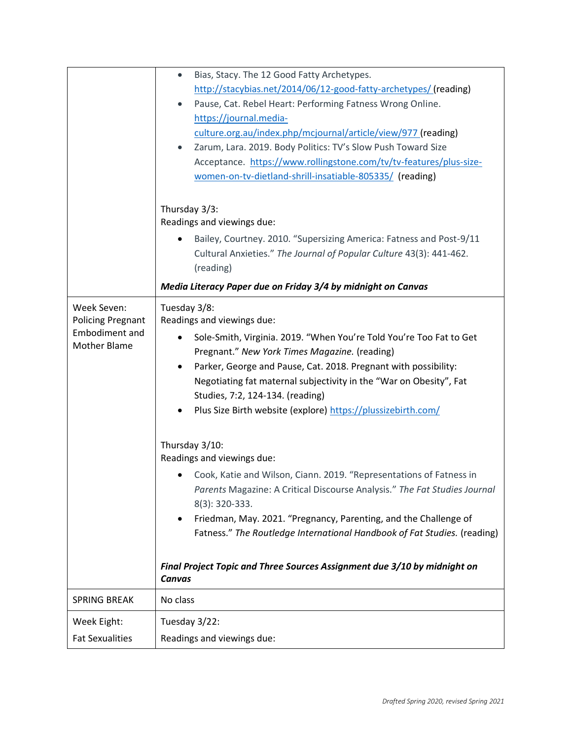|                                              | Bias, Stacy. The 12 Good Fatty Archetypes.<br>$\bullet$                                                                                                                                                                                                                                                                                                                                                                                                         |
|----------------------------------------------|-----------------------------------------------------------------------------------------------------------------------------------------------------------------------------------------------------------------------------------------------------------------------------------------------------------------------------------------------------------------------------------------------------------------------------------------------------------------|
|                                              | http://stacybias.net/2014/06/12-good-fatty-archetypes/ (reading)                                                                                                                                                                                                                                                                                                                                                                                                |
|                                              | Pause, Cat. Rebel Heart: Performing Fatness Wrong Online.<br>$\bullet$                                                                                                                                                                                                                                                                                                                                                                                          |
|                                              | https://journal.media-                                                                                                                                                                                                                                                                                                                                                                                                                                          |
|                                              | culture.org.au/index.php/mcjournal/article/view/977 (reading)                                                                                                                                                                                                                                                                                                                                                                                                   |
|                                              | Zarum, Lara. 2019. Body Politics: TV's Slow Push Toward Size<br>$\bullet$                                                                                                                                                                                                                                                                                                                                                                                       |
|                                              | Acceptance. https://www.rollingstone.com/tv/tv-features/plus-size-                                                                                                                                                                                                                                                                                                                                                                                              |
|                                              | women-on-tv-dietland-shrill-insatiable-805335/ (reading)                                                                                                                                                                                                                                                                                                                                                                                                        |
|                                              | Thursday 3/3:<br>Readings and viewings due:<br>Bailey, Courtney. 2010. "Supersizing America: Fatness and Post-9/11<br>Cultural Anxieties." The Journal of Popular Culture 43(3): 441-462.<br>(reading)                                                                                                                                                                                                                                                          |
|                                              | Media Literacy Paper due on Friday 3/4 by midnight on Canvas                                                                                                                                                                                                                                                                                                                                                                                                    |
| Week Seven:<br><b>Policing Pregnant</b>      | Tuesday 3/8:<br>Readings and viewings due:                                                                                                                                                                                                                                                                                                                                                                                                                      |
| <b>Embodiment and</b><br><b>Mother Blame</b> | Sole-Smith, Virginia. 2019. "When You're Told You're Too Fat to Get                                                                                                                                                                                                                                                                                                                                                                                             |
|                                              | Pregnant." New York Times Magazine. (reading)                                                                                                                                                                                                                                                                                                                                                                                                                   |
|                                              | Parker, George and Pause, Cat. 2018. Pregnant with possibility:<br>$\bullet$                                                                                                                                                                                                                                                                                                                                                                                    |
|                                              | Negotiating fat maternal subjectivity in the "War on Obesity", Fat                                                                                                                                                                                                                                                                                                                                                                                              |
|                                              | Studies, 7:2, 124-134. (reading)                                                                                                                                                                                                                                                                                                                                                                                                                                |
|                                              | Plus Size Birth website (explore) https://plussizebirth.com/                                                                                                                                                                                                                                                                                                                                                                                                    |
|                                              | Thursday 3/10:<br>Readings and viewings due:<br>Cook, Katie and Wilson, Ciann. 2019. "Representations of Fatness in<br>Parents Magazine: A Critical Discourse Analysis." The Fat Studies Journal<br>8(3): 320-333.<br>Friedman, May. 2021. "Pregnancy, Parenting, and the Challenge of<br>Fatness." The Routledge International Handbook of Fat Studies. (reading)<br>Final Project Topic and Three Sources Assignment due 3/10 by midnight on<br><b>Canvas</b> |
| <b>SPRING BREAK</b>                          | No class                                                                                                                                                                                                                                                                                                                                                                                                                                                        |
| Week Eight:                                  | Tuesday 3/22:                                                                                                                                                                                                                                                                                                                                                                                                                                                   |
| <b>Fat Sexualities</b>                       | Readings and viewings due:                                                                                                                                                                                                                                                                                                                                                                                                                                      |
|                                              |                                                                                                                                                                                                                                                                                                                                                                                                                                                                 |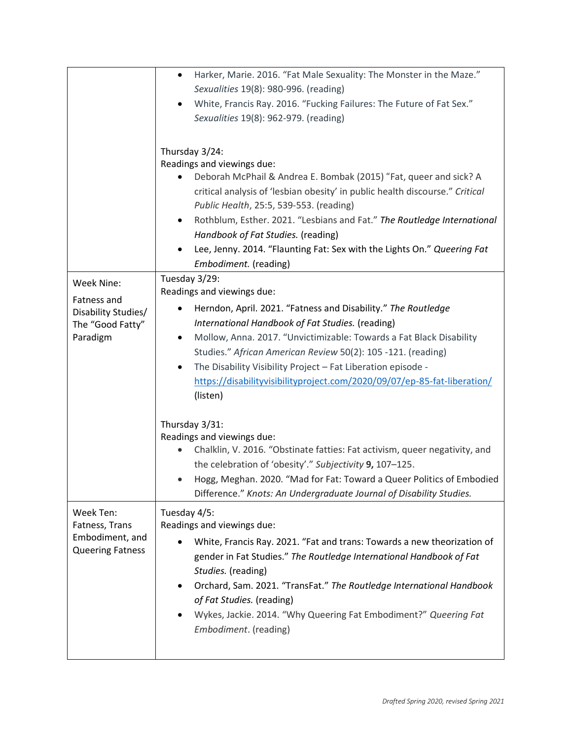|                         | Harker, Marie. 2016. "Fat Male Sexuality: The Monster in the Maze."<br>$\bullet$ |
|-------------------------|----------------------------------------------------------------------------------|
|                         | Sexualities 19(8): 980-996. (reading)                                            |
|                         | White, Francis Ray. 2016. "Fucking Failures: The Future of Fat Sex."             |
|                         | Sexualities 19(8): 962-979. (reading)                                            |
|                         |                                                                                  |
|                         |                                                                                  |
|                         | Thursday 3/24:                                                                   |
|                         | Readings and viewings due:                                                       |
|                         | Deborah McPhail & Andrea E. Bombak (2015) "Fat, queer and sick? A                |
|                         | critical analysis of 'lesbian obesity' in public health discourse." Critical     |
|                         | Public Health, 25:5, 539-553. (reading)                                          |
|                         | Rothblum, Esther. 2021. "Lesbians and Fat." The Routledge International<br>٠     |
|                         | Handbook of Fat Studies. (reading)                                               |
|                         | Lee, Jenny. 2014. "Flaunting Fat: Sex with the Lights On." Queering Fat          |
|                         | Embodiment. (reading)                                                            |
|                         | Tuesday 3/29:                                                                    |
| Week Nine:              | Readings and viewings due:                                                       |
| Fatness and             |                                                                                  |
| Disability Studies/     | Herndon, April. 2021. "Fatness and Disability." The Routledge                    |
| The "Good Fatty"        | International Handbook of Fat Studies. (reading)                                 |
| Paradigm                | Mollow, Anna. 2017. "Unvictimizable: Towards a Fat Black Disability<br>٠         |
|                         | Studies." African American Review 50(2): 105 -121. (reading)                     |
|                         | The Disability Visibility Project - Fat Liberation episode -                     |
|                         | https://disabilityvisibilityproject.com/2020/09/07/ep-85-fat-liberation/         |
|                         | (listen)                                                                         |
|                         |                                                                                  |
|                         | Thursday 3/31:                                                                   |
|                         | Readings and viewings due:                                                       |
|                         | Chalklin, V. 2016. "Obstinate fatties: Fat activism, queer negativity, and       |
|                         | the celebration of 'obesity'." Subjectivity 9, 107-125.                          |
|                         | Hogg, Meghan. 2020. "Mad for Fat: Toward a Queer Politics of Embodied            |
|                         | Difference." Knots: An Undergraduate Journal of Disability Studies.              |
| Week Ten:               | Tuesday 4/5:                                                                     |
| Fatness, Trans          | Readings and viewings due:                                                       |
| Embodiment, and         |                                                                                  |
| <b>Queering Fatness</b> | White, Francis Ray. 2021. "Fat and trans: Towards a new theorization of          |
|                         | gender in Fat Studies." The Routledge International Handbook of Fat              |
|                         | Studies. (reading)                                                               |
|                         | Orchard, Sam. 2021. "TransFat." The Routledge International Handbook             |
|                         | of Fat Studies. (reading)                                                        |
|                         | Wykes, Jackie. 2014. "Why Queering Fat Embodiment?" Queering Fat                 |
|                         | Embodiment. (reading)                                                            |
|                         |                                                                                  |
|                         |                                                                                  |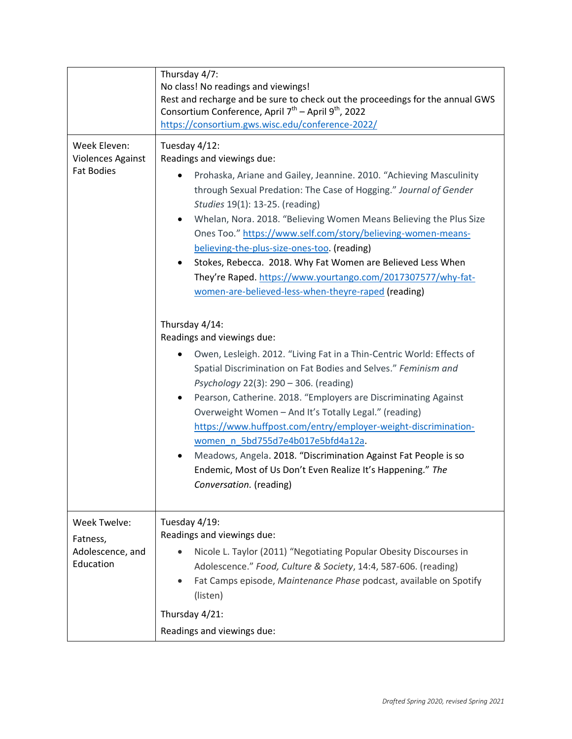|                                                               | Thursday 4/7:<br>No class! No readings and viewings!<br>Rest and recharge and be sure to check out the proceedings for the annual GWS<br>Consortium Conference, April 7 <sup>th</sup> – April 9 <sup>th</sup> , 2022<br>https://consortium.gws.wisc.edu/conference-2022/                                                                                                                                                                                                                                                                                                                                                                                                                                                                                                                                                                                                                                                                                               |
|---------------------------------------------------------------|------------------------------------------------------------------------------------------------------------------------------------------------------------------------------------------------------------------------------------------------------------------------------------------------------------------------------------------------------------------------------------------------------------------------------------------------------------------------------------------------------------------------------------------------------------------------------------------------------------------------------------------------------------------------------------------------------------------------------------------------------------------------------------------------------------------------------------------------------------------------------------------------------------------------------------------------------------------------|
| Week Eleven:<br><b>Violences Against</b><br><b>Fat Bodies</b> | Tuesday 4/12:<br>Readings and viewings due:<br>Prohaska, Ariane and Gailey, Jeannine. 2010. "Achieving Masculinity<br>through Sexual Predation: The Case of Hogging." Journal of Gender<br>Studies 19(1): 13-25. (reading)<br>Whelan, Nora. 2018. "Believing Women Means Believing the Plus Size<br>Ones Too." https://www.self.com/story/believing-women-means-<br>believing-the-plus-size-ones-too. (reading)<br>Stokes, Rebecca. 2018. Why Fat Women are Believed Less When<br>They're Raped. https://www.yourtango.com/2017307577/why-fat-<br>women-are-believed-less-when-theyre-raped (reading)<br>Thursday 4/14:<br>Readings and viewings due:<br>Owen, Lesleigh. 2012. "Living Fat in a Thin-Centric World: Effects of<br>Spatial Discrimination on Fat Bodies and Selves." Feminism and<br>Psychology 22(3): 290 - 306. (reading)<br>Pearson, Catherine. 2018. "Employers are Discriminating Against<br>Overweight Women - And It's Totally Legal." (reading) |
|                                                               | https://www.huffpost.com/entry/employer-weight-discrimination-<br>women n 5bd755d7e4b017e5bfd4a12a.<br>Meadows, Angela. 2018. "Discrimination Against Fat People is so<br>٠<br>Endemic, Most of Us Don't Even Realize It's Happening." The<br>Conversation. (reading)                                                                                                                                                                                                                                                                                                                                                                                                                                                                                                                                                                                                                                                                                                  |
| Week Twelve:<br>Fatness,<br>Adolescence, and<br>Education     | Tuesday 4/19:<br>Readings and viewings due:<br>Nicole L. Taylor (2011) "Negotiating Popular Obesity Discourses in<br>Adolescence." Food, Culture & Society, 14:4, 587-606. (reading)<br>Fat Camps episode, Maintenance Phase podcast, available on Spotify<br>(listen)<br>Thursday 4/21:<br>Readings and viewings due:                                                                                                                                                                                                                                                                                                                                                                                                                                                                                                                                                                                                                                                 |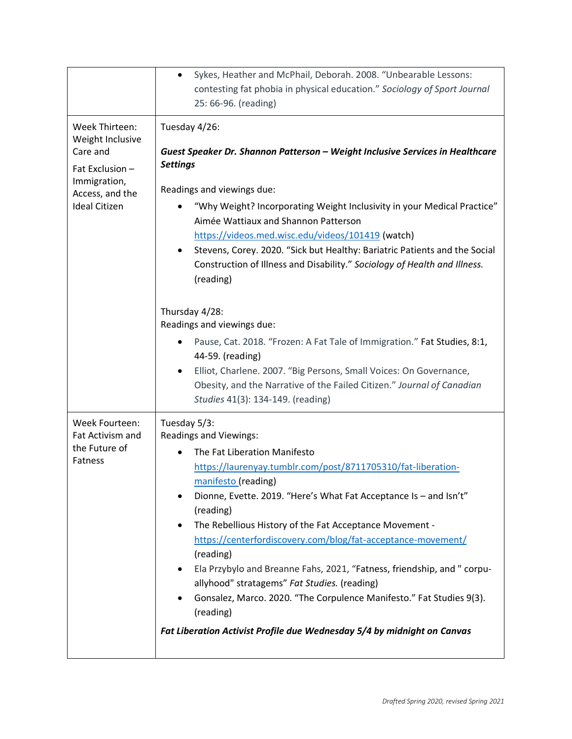|                                                                                                                              | Sykes, Heather and McPhail, Deborah. 2008. "Unbearable Lessons:<br>$\bullet$<br>contesting fat phobia in physical education." Sociology of Sport Journal<br>25: 66-96. (reading)                                                                                                                                                                                                                                                                                                                                                                                                                                                                                                          |
|------------------------------------------------------------------------------------------------------------------------------|-------------------------------------------------------------------------------------------------------------------------------------------------------------------------------------------------------------------------------------------------------------------------------------------------------------------------------------------------------------------------------------------------------------------------------------------------------------------------------------------------------------------------------------------------------------------------------------------------------------------------------------------------------------------------------------------|
| Week Thirteen:<br>Weight Inclusive<br>Care and<br>Fat Exclusion -<br>Immigration,<br>Access, and the<br><b>Ideal Citizen</b> | Tuesday 4/26:<br>Guest Speaker Dr. Shannon Patterson - Weight Inclusive Services in Healthcare<br><b>Settings</b><br>Readings and viewings due:<br>"Why Weight? Incorporating Weight Inclusivity in your Medical Practice"<br>Aimée Wattiaux and Shannon Patterson<br>https://videos.med.wisc.edu/videos/101419 (watch)<br>Stevens, Corey. 2020. "Sick but Healthy: Bariatric Patients and the Social<br>Construction of Illness and Disability." Sociology of Health and Illness.<br>(reading)                                                                                                                                                                                           |
|                                                                                                                              | Thursday 4/28:<br>Readings and viewings due:<br>Pause, Cat. 2018. "Frozen: A Fat Tale of Immigration." Fat Studies, 8:1,<br>44-59. (reading)<br>Elliot, Charlene. 2007. "Big Persons, Small Voices: On Governance,<br>Obesity, and the Narrative of the Failed Citizen." Journal of Canadian<br>Studies 41(3): 134-149. (reading)                                                                                                                                                                                                                                                                                                                                                         |
| Week Fourteen:<br>Fat Activism and<br>the Future of<br><b>Fatness</b>                                                        | Tuesday 5/3:<br><b>Readings and Viewings:</b><br>The Fat Liberation Manifesto<br>https://laurenyay.tumblr.com/post/8711705310/fat-liberation-<br>manifesto (reading)<br>Dionne, Evette. 2019. "Here's What Fat Acceptance Is - and Isn't"<br>(reading)<br>The Rebellious History of the Fat Acceptance Movement -<br>https://centerfordiscovery.com/blog/fat-acceptance-movement/<br>(reading)<br>Ela Przybylo and Breanne Fahs, 2021, "Fatness, friendship, and " corpu-<br>allyhood" stratagems" Fat Studies. (reading)<br>Gonsalez, Marco. 2020. "The Corpulence Manifesto." Fat Studies 9(3).<br>(reading)<br>Fat Liberation Activist Profile due Wednesday 5/4 by midnight on Canvas |